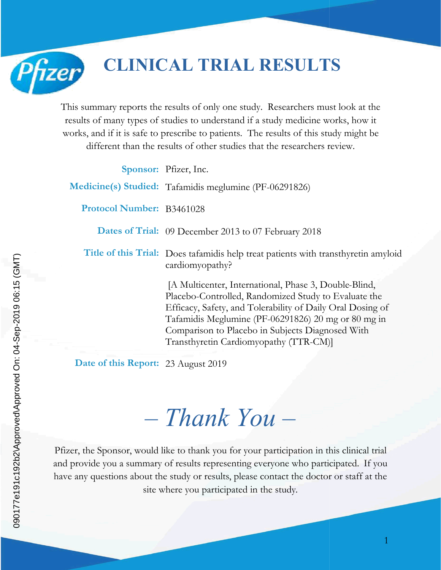

## **CLINICAL TRIAL RESULTS**

This summary reports the results of only one study. Researchers must look at the results of many types of studies to understand if a study medicine works, how it This summary reports the results of only one study. Researchers must look at the results of many types of studies to understand if a study medicine works, how it works, and if it is safe to prescribe to patients. The resul

|                                     | different than the results of other studies that the researchers review.                                                                                                                                                                                                                                                         |  |
|-------------------------------------|----------------------------------------------------------------------------------------------------------------------------------------------------------------------------------------------------------------------------------------------------------------------------------------------------------------------------------|--|
|                                     | Sponsor: Pfizer, Inc.                                                                                                                                                                                                                                                                                                            |  |
|                                     | Medicine(s) Studied: Tafamidis meglumine (PF-06291826)                                                                                                                                                                                                                                                                           |  |
| Protocol Number: B3461028           |                                                                                                                                                                                                                                                                                                                                  |  |
|                                     | Dates of Trial: 09 December 2013 to 07 February 2018                                                                                                                                                                                                                                                                             |  |
|                                     | Title of this Trial: Does tafamidis help treat patients with transthyretin amyloid<br>cardiomyopathy?                                                                                                                                                                                                                            |  |
|                                     | [A Multicenter, International, Phase 3, Double-Blind,<br>Placebo-Controlled, Randomized Study to Evaluate the<br>Efficacy, Safety, and Tolerability of Daily Oral Dosing of<br>Tafamidis Meglumine (PF-06291826) 20 mg or 80 mg in<br>Comparison to Placebo in Subjects Diagnosed With<br>Transthyretin Cardiomyopathy (TTR-CM)] |  |
| Date of this Report: 23 August 2019 |                                                                                                                                                                                                                                                                                                                                  |  |
|                                     | $-$ Thank You $-$                                                                                                                                                                                                                                                                                                                |  |
|                                     |                                                                                                                                                                                                                                                                                                                                  |  |
|                                     | zer, the Sponsor, would like to thank you for your participation in this clinical trial<br>provide you a summary of results representing everyone who participated. If you                                                                                                                                                       |  |

# *– Thank You Thank –*

Pfizer, the Sponsor, would like to thank you for your participation in this clinical trial and provide you a summary of results representing everyone who participated. have any questions about the study or results, please contact the doctor or staff at the site where you participated in the study.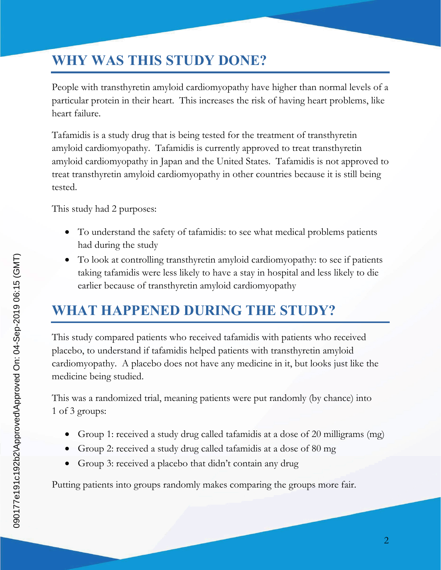#### **WHY WAS THIS STUDY DONE?**

People with transthyretin amyloid cardiomyopathy have higher than normal levels of a particular protein in their heart. This increases the risk of having heart problems, like heart failure.

Tafamidis is a study drug that is being tested for the treatment of transthyretin amyloid cardiomyopathy. Tafamidis is currently approved to treat transthyretin amyloid cardiomyopathy in Japan and the United States. Tafamidis is not approved to treat transthyretin amyloid cardiomyopathy in other countries because it is still being tested.

This study had 2 purposes:

- To understand the safety of tafamidis: to see what medical problems patients had during the study
- To look at controlling transthyretin amyloid cardiomyopathy: to see if patients taking tafamidis were less likely to have a stay in hospital and less likely to die earlier because of transthyretin amyloid cardiomyopathy

#### **WHAT HAPPENED DURING THE STUDY?**

This study compared patients who received tafamidis with patients who received placebo, to understand if tafamidis helped patients with transthyretin amyloid cardiomyopathy. A placebo does not have any medicine in it, but looks just like the medicine being studied.

This was a randomized trial, meaning patients were put randomly (by chance) into 1 of 3 groups:

- Group 1: received a study drug called tafamidis at a dose of 20 milligrams (mg)
- Group 2: received a study drug called tafamidis at a dose of 80 mg
- Group 3: received a placebo that didn't contain any drug

Putting patients into groups randomly makes comparing the groups more fair.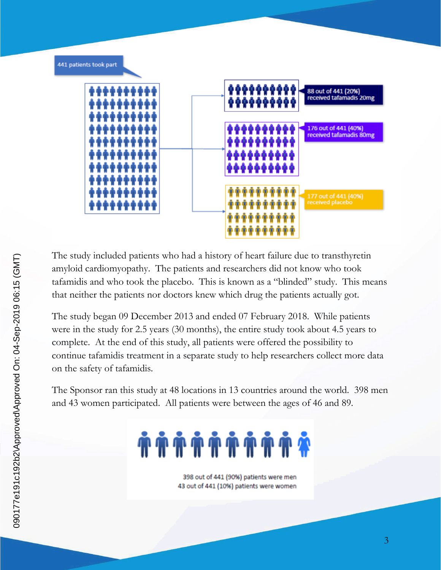

The study included patients who had a history of heart failure due to transthyretin amyloid cardiomyopathy. The patients and researchers did not know who took tafamidis and who took the placebo. This is known as a "blinded" study. This means that neither the patients nor doctors knew which drug the patients actually got.

The study began 09 December 2013 and ended 07 February 2018. While patients were in the study for 2.5 years (30 months), the entire study took about 4.5 years to complete. At the end of this study, all patients were offered the possibility to continue tafamidis treatment in a separate study to help researchers collect more data on the safety of tafamidis.

The Sponsor ran this study at 48 locations in 13 countries around the world. 398 men and 43 women participated. All patients were between the ages of 46 and 89.

# **#########**

398 out of 441 (90%) patients were men 43 out of 441 (10%) patients were women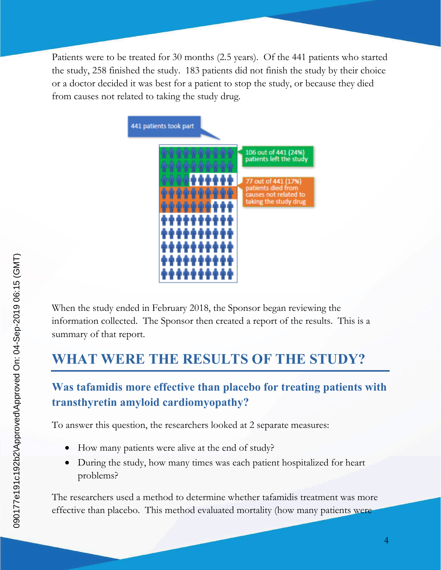Patients were to be treated for 30 months (2.5 years). Of the 441 patients who started the study, 258 finished the study. 183 patients did not finish the study by their choice or a doctor decided it was best for a patient to stop the study, or because they died from causes not related to taking the study drug.



When the study ended in February 2018, the Sponsor began reviewing the information collected. The Sponsor then created a report of the results. This is a summary of that report.

#### **WHAT WERE THE RESULTS OF THE STUDY?**

#### **Was tafamidis more effective than placebo for treating patients with transthyretin amyloid cardiomyopathy?**

To answer this question, the researchers looked at 2 separate measures:

- How many patients were alive at the end of study?
- During the study, how many times was each patient hospitalized for heart problems?

The researchers used a method to determine whether tafamidis treatment was more effective than placebo. This method evaluated mortality (how many patients were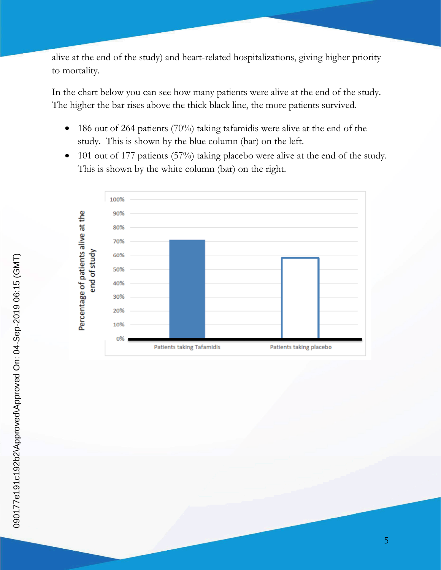alive at the end of the study) and heart-related hospitalizations, giving higher priority to mortality.

In the chart below you can see how many patients were alive at the end of the study. The higher the bar rises above the thick black line, the more patients survived.

- $\bullet$  186 out of 264 patients (70%) taking tafamidis were alive at the end of the study. This is shown by the blue column (bar) on the left.
- 101 out of 177 patients (57%) taking placebo were alive at the end of the study. This is shown by the white column (bar) on the right.

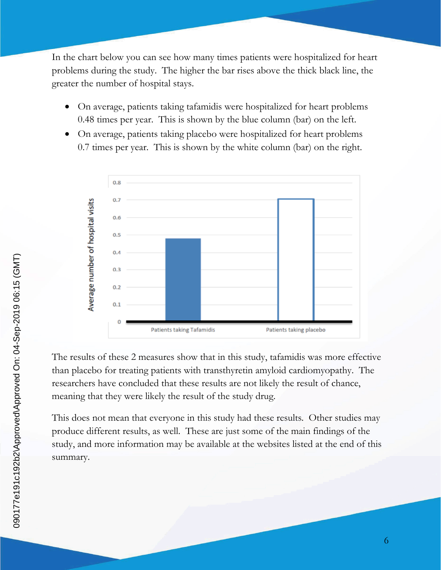In the chart below you can see how many times patients were hospitalized for heart problems during the study. The higher the bar rises above the thick black line, the greater the number of hospital stays.

- On average, patients taking tafamidis were hospitalized for heart problems 0.48 times per year. This is shown by the blue column (bar) on the left.
- On average, patients taking placebo were hospitalized for heart problems 0.7 times per year. This is shown by the white column (bar) on the right.



The results of these 2 measures show that in this study, tafamidis was more effective than placebo for treating patients with transthyretin amyloid cardiomyopathy. The researchers have concluded that these results are not likely the result of chance, meaning that they were likely the result of the study drug.

This does not mean that everyone in this study had these results. Other studies may produce different results, as well. These are just some of the main findings of the study, and more information may be available at the websites listed at the end of this summary.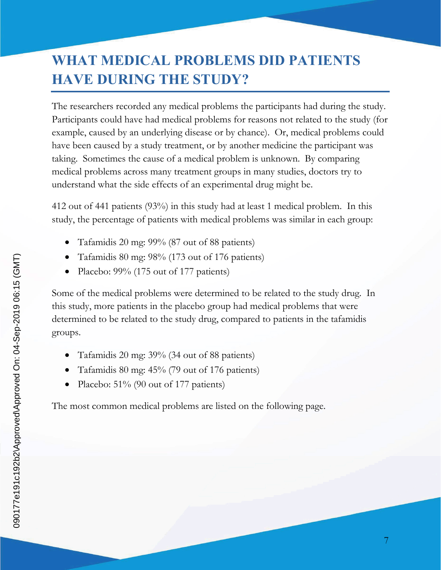### **WHAT MEDICAL PROBLEMS DID PATIENTS HAVE DURING THE STUDY?**

The researchers recorded any medical problems the participants had during the study. Participants could have had medical problems for reasons not related to the study (for example, caused by an underlying disease or by chance). Or, medical problems could have been caused by a study treatment, or by another medicine the participant was taking. Sometimes the cause of a medical problem is unknown. By comparing medical problems across many treatment groups in many studies, doctors try to understand what the side effects of an experimental drug might be.

412 out of 441 patients (93%) in this study had at least 1 medical problem. In this study, the percentage of patients with medical problems was similar in each group:

- Tafamidis 20 mg: 99% (87 out of 88 patients)
- Tafamidis 80 mg: 98% (173 out of 176 patients)
- Placebo: 99% (175 out of 177 patients)

Some of the medical problems were determined to be related to the study drug. In this study, more patients in the placebo group had medical problems that were determined to be related to the study drug, compared to patients in the tafamidis groups.

- Tafamidis 20 mg: 39% (34 out of 88 patients)
- Tafamidis 80 mg: 45% (79 out of 176 patients)
- Placebo: 51% (90 out of 177 patients)

The most common medical problems are listed on the following page.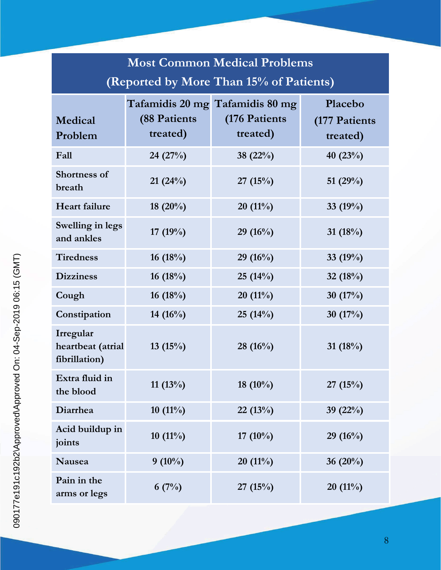| <b>Most Common Medical Problems</b>             |                                  |                                                               |                                      |  |
|-------------------------------------------------|----------------------------------|---------------------------------------------------------------|--------------------------------------|--|
| (Reported by More Than 15% of Patients)         |                                  |                                                               |                                      |  |
| Medical<br>Problem                              | <b>(88 Patients)</b><br>treated) | Tafamidis 20 mg Tafamidis 80 mg<br>(176 Patients)<br>treated) | Placebo<br>(177 Patients<br>treated) |  |
| Fall                                            | 24 (27%)                         | 38 $(22%)$                                                    | 40 $(23%)$                           |  |
| <b>Shortness of</b><br>breath                   | 21(24%)                          | 27(15%)                                                       | 51 $(29%)$                           |  |
| <b>Heart failure</b>                            | 18 $(20\%)$                      | $20(11\%)$                                                    | 33 $(19%)$                           |  |
| Swelling in legs<br>and ankles                  | 17 $(19%)$                       | 29(16%)                                                       | 31 $(18%)$                           |  |
| <b>Tiredness</b>                                | 16(18%)                          | 29(16%)                                                       | 33 $(19%)$                           |  |
| <b>Dizziness</b>                                | 16 $(18%)$                       | 25(14%)                                                       | 32 $(18%)$                           |  |
| Cough                                           | 16 $(18%)$                       | $20(11\%)$                                                    | 30 $(17%)$                           |  |
| Constipation                                    | 14 $(16\%)$                      | 25(14%)                                                       | 30 $(17%)$                           |  |
| Irregular<br>heartbeat (atrial<br>fibrillation) | 13 $(15%)$                       | 28(16%)                                                       | 31 $(18%)$                           |  |
| Extra fluid in<br>the blood                     | $11(13\%)$                       | 18 $(10\%)$                                                   | 27(15%)                              |  |
| Diarrhea                                        | $10(11\%)$                       | 22(13%)                                                       | 39 $(22%)$                           |  |
| Acid buildup in<br>joints                       | $10(11\%)$                       | 17 $(10\%)$                                                   | $29(16\%)$                           |  |
| Nausea                                          | $9(10\%)$                        | $20(11\%)$                                                    | 36 (20%)                             |  |
| Pain in the<br>arms or legs                     | 6(7%)                            | 27(15%)                                                       | $20(11\%)$                           |  |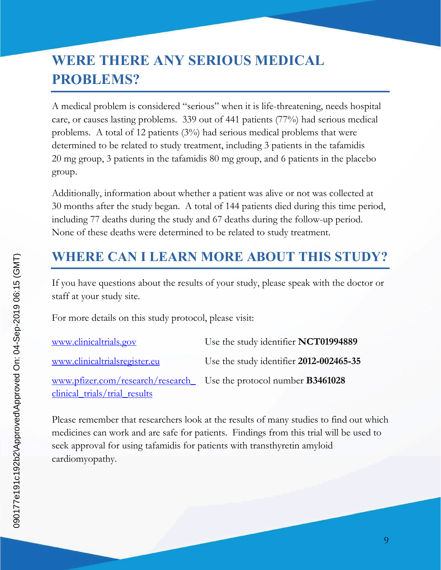### **WERE THERE ANY SERIOUS MEDICAL PROBLEMS?**

A medical problem is considered "serious" when it is life-threatening, needs hospital care, or causes lasting problems. 339 out of 441 patients (77%) had serious medical problems. A total of 12 patients (3%) had serious medical problems that were determined to be related to study treatment, including 3 patients in the tafamidis 20 mg group, 3 patients in the tafamidis 80 mg group, and 6 patients in the placebo group.

Additionally, information about whether a patient was alive or not was collected at 30 months after the study began. A total of 144 patients died during this time period, including 77 deaths during the study and 67 deaths during the follow-up period. None of these deaths were determined to be related to study treatment.

#### **WHERE CAN I LEARN MORE ABOUT THIS STUDY?**

If you have questions about the results of your study, please speak with the doctor or staff at your study site.

For more details on this study protocol, please visit:

| www.clinicaltrials.gov                                                   | Use the study identifier NCT01994889    |
|--------------------------------------------------------------------------|-----------------------------------------|
| www.clinicaltrialsregister.eu                                            | Use the study identifier 2012-002465-35 |
| www.pfizer.com/research/research Use the protocol number <b>B3461028</b> |                                         |
| clinical trials/trial results                                            |                                         |

Please remember that researchers look at the results of many studies to find out which medicines can work and are safe for patients. Findings from this trial will be used to seek approval for using tafamidis for patients with transthyretin amyloid cardiomyopathy.